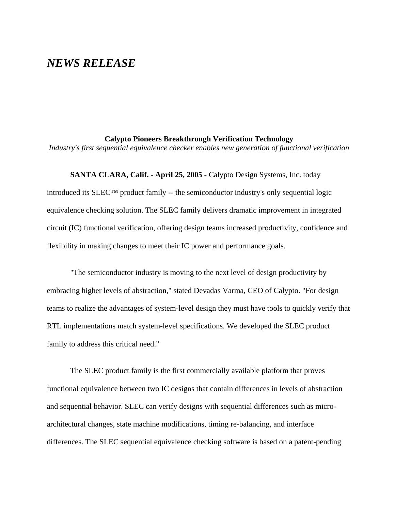# *NEWS RELEASE*

## **Calypto Pioneers Breakthrough Verification Technology**

*Industry's first sequential equivalence checker enables new generation of functional verification*

**SANTA CLARA, Calif. - April 25, 2005 -** Calypto Design Systems, Inc. today introduced its  $SLEC^{TM}$  product family -- the semiconductor industry's only sequential logic equivalence checking solution. The SLEC family delivers dramatic improvement in integrated circuit (IC) functional verification, offering design teams increased productivity, confidence and flexibility in making changes to meet their IC power and performance goals.

"The semiconductor industry is moving to the next level of design productivity by embracing higher levels of abstraction," stated Devadas Varma, CEO of Calypto. "For design teams to realize the advantages of system-level design they must have tools to quickly verify that RTL implementations match system-level specifications. We developed the SLEC product family to address this critical need."

The SLEC product family is the first commercially available platform that proves functional equivalence between two IC designs that contain differences in levels of abstraction and sequential behavior. SLEC can verify designs with sequential differences such as microarchitectural changes, state machine modifications, timing re-balancing, and interface differences. The SLEC sequential equivalence checking software is based on a patent-pending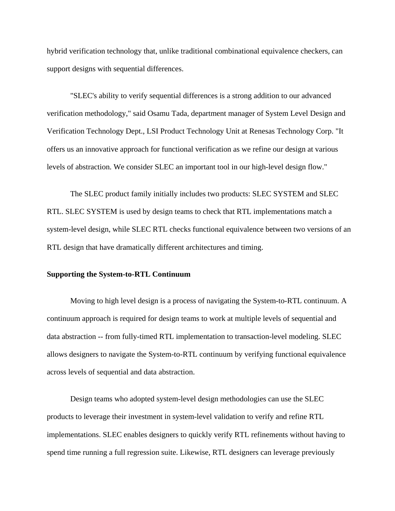hybrid verification technology that, unlike traditional combinational equivalence checkers, can support designs with sequential differences.

"SLEC's ability to verify sequential differences is a strong addition to our advanced verification methodology," said Osamu Tada, department manager of System Level Design and Verification Technology Dept., LSI Product Technology Unit at Renesas Technology Corp. "It offers us an innovative approach for functional verification as we refine our design at various levels of abstraction. We consider SLEC an important tool in our high-level design flow."

The SLEC product family initially includes two products: SLEC SYSTEM and SLEC RTL. SLEC SYSTEM is used by design teams to check that RTL implementations match a system-level design, while SLEC RTL checks functional equivalence between two versions of an RTL design that have dramatically different architectures and timing.

### **Supporting the System-to-RTL Continuum**

Moving to high level design is a process of navigating the System-to-RTL continuum. A continuum approach is required for design teams to work at multiple levels of sequential and data abstraction -- from fully-timed RTL implementation to transaction-level modeling. SLEC allows designers to navigate the System-to-RTL continuum by verifying functional equivalence across levels of sequential and data abstraction.

Design teams who adopted system-level design methodologies can use the SLEC products to leverage their investment in system-level validation to verify and refine RTL implementations. SLEC enables designers to quickly verify RTL refinements without having to spend time running a full regression suite. Likewise, RTL designers can leverage previously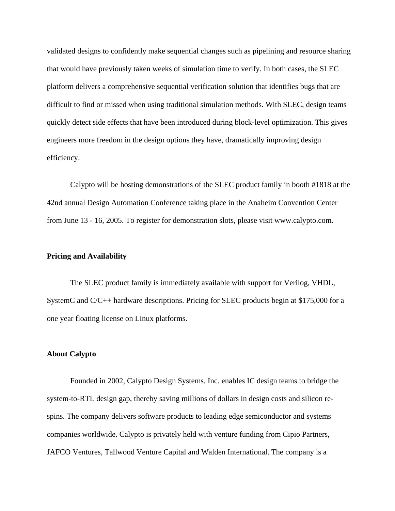validated designs to confidently make sequential changes such as pipelining and resource sharing that would have previously taken weeks of simulation time to verify. In both cases, the SLEC platform delivers a comprehensive sequential verification solution that identifies bugs that are difficult to find or missed when using traditional simulation methods. With SLEC, design teams quickly detect side effects that have been introduced during block-level optimization. This gives engineers more freedom in the design options they have, dramatically improving design efficiency.

Calypto will be hosting demonstrations of the SLEC product family in booth #1818 at the 42nd annual Design Automation Conference taking place in the Anaheim Convention Center from June 13 - 16, 2005. To register for demonstration slots, please visit www.calypto.com.

## **Pricing and Availability**

The SLEC product family is immediately available with support for Verilog, VHDL, SystemC and C/C++ hardware descriptions. Pricing for SLEC products begin at \$175,000 for a one year floating license on Linux platforms.

#### **About Calypto**

Founded in 2002, Calypto Design Systems, Inc. enables IC design teams to bridge the system-to-RTL design gap, thereby saving millions of dollars in design costs and silicon respins. The company delivers software products to leading edge semiconductor and systems companies worldwide. Calypto is privately held with venture funding from Cipio Partners, JAFCO Ventures, Tallwood Venture Capital and Walden International. The company is a